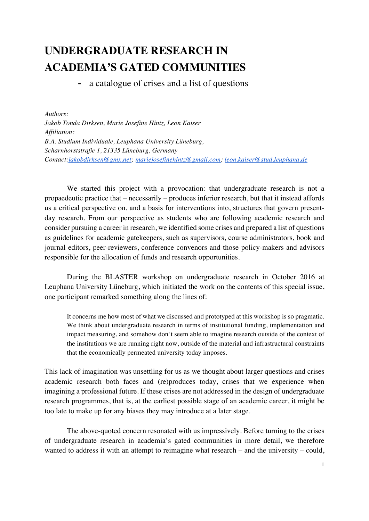# **UNDERGRADUATE RESEARCH IN ACADEMIA'S GATED COMMUNITIES**

a catalogue of crises and a list of questions

*Authors: Jakob Tonda Dirksen, Marie Josefine Hintz, Leon Kaiser Affiliation: B.A. Studium Individuale, Leuphana University Lüneburg, Scharnhorststraße 1, 21335 Lüneburg, Germany Contact:jakobdirksen@gmx.net; mariejosefinehintz@gmail.com; leon.kaiser@stud.leuphana.de*

We started this project with a provocation: that undergraduate research is not a propaedeutic practice that – necessarily – produces inferior research, but that it instead affords us a critical perspective on, and a basis for interventions into, structures that govern presentday research. From our perspective as students who are following academic research and consider pursuing a career in research, we identified some crises and prepared a list of questions as guidelines for academic gatekeepers, such as supervisors, course administrators, book and journal editors, peer-reviewers, conference convenors and those policy-makers and advisors responsible for the allocation of funds and research opportunities.

During the BLASTER workshop on undergraduate research in October 2016 at Leuphana University Lüneburg, which initiated the work on the contents of this special issue, one participant remarked something along the lines of:

It concerns me how most of what we discussed and prototyped at this workshop is so pragmatic. We think about undergraduate research in terms of institutional funding, implementation and impact measuring, and somehow don't seem able to imagine research outside of the context of the institutions we are running right now, outside of the material and infrastructural constraints that the economically permeated university today imposes.

This lack of imagination was unsettling for us as we thought about larger questions and crises academic research both faces and (re)produces today, crises that we experience when imagining a professional future. If these crises are not addressed in the design of undergraduate research programmes, that is, at the earliest possible stage of an academic career, it might be too late to make up for any biases they may introduce at a later stage.

The above-quoted concern resonated with us impressively. Before turning to the crises of undergraduate research in academia's gated communities in more detail, we therefore wanted to address it with an attempt to reimagine what research – and the university – could,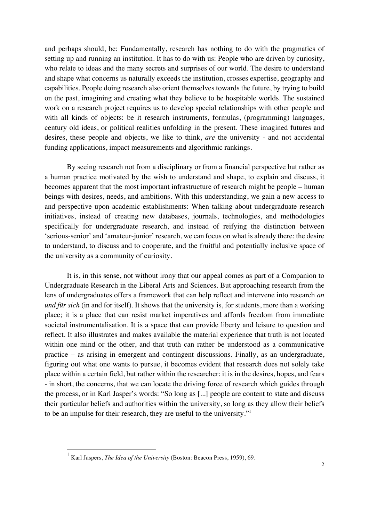and perhaps should, be: Fundamentally, research has nothing to do with the pragmatics of setting up and running an institution. It has to do with us: People who are driven by curiosity, who relate to ideas and the many secrets and surprises of our world. The desire to understand and shape what concerns us naturally exceeds the institution, crosses expertise, geography and capabilities. People doing research also orient themselves towards the future, by trying to build on the past, imagining and creating what they believe to be hospitable worlds. The sustained work on a research project requires us to develop special relationships with other people and with all kinds of objects: be it research instruments, formulas, (programming) languages, century old ideas, or political realities unfolding in the present. These imagined futures and desires, these people and objects, we like to think, *are* the university - and not accidental funding applications, impact measurements and algorithmic rankings.

By seeing research not from a disciplinary or from a financial perspective but rather as a human practice motivated by the wish to understand and shape, to explain and discuss, it becomes apparent that the most important infrastructure of research might be people – human beings with desires, needs, and ambitions. With this understanding, we gain a new access to and perspective upon academic establishments: When talking about undergraduate research initiatives, instead of creating new databases, journals, technologies, and methodologies specifically for undergraduate research, and instead of reifying the distinction between 'serious-senior' and 'amateur-junior' research, we can focus on what is already there: the desire to understand, to discuss and to cooperate, and the fruitful and potentially inclusive space of the university as a community of curiosity.

It is, in this sense, not without irony that our appeal comes as part of a Companion to Undergraduate Research in the Liberal Arts and Sciences. But approaching research from the lens of undergraduates offers a framework that can help reflect and intervene into research *an und für sich* (in and for itself). It shows that the university is, for students, more than a working place; it is a place that can resist market imperatives and affords freedom from immediate societal instrumentalisation. It is a space that can provide liberty and leisure to question and reflect. It also illustrates and makes available the material experience that truth is not located within one mind or the other, and that truth can rather be understood as a communicative practice – as arising in emergent and contingent discussions. Finally, as an undergraduate, figuring out what one wants to pursue, it becomes evident that research does not solely take place within a certain field, but rather within the researcher: it is in the desires, hopes, and fears - in short, the concerns, that we can locate the driving force of research which guides through the process, or in Karl Jasper's words: "So long as [...] people are content to state and discuss their particular beliefs and authorities within the university, so long as they allow their beliefs to be an impulse for their research, they are useful to the university."<sup>1</sup>

 <sup>1</sup> Karl Jaspers, *The Idea of the University* (Boston: Beacon Press, 1959), 69.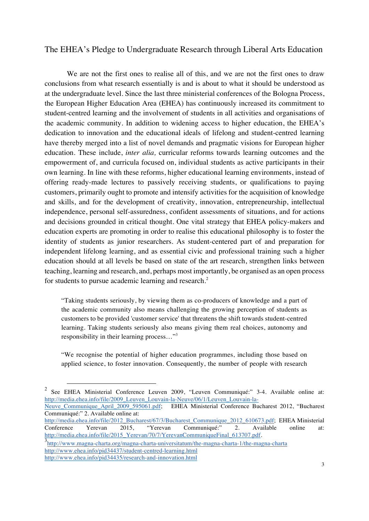## The EHEA's Pledge to Undergraduate Research through Liberal Arts Education

We are not the first ones to realise all of this, and we are not the first ones to draw conclusions from what research essentially is and is about to what it should be understood as at the undergraduate level. Since the last three ministerial conferences of the Bologna Process, the European Higher Education Area (EHEA) has continuously increased its commitment to student-centred learning and the involvement of students in all activities and organisations of the academic community. In addition to widening access to higher education, the EHEA's dedication to innovation and the educational ideals of lifelong and student-centred learning have thereby merged into a list of novel demands and pragmatic visions for European higher education. These include, *inter alia,* curricular reforms towards learning outcomes and the empowerment of, and curricula focused on, individual students as active participants in their own learning. In line with these reforms, higher educational learning environments, instead of offering ready-made lectures to passively receiving students, or qualifications to paying customers, primarily ought to promote and intensify activities for the acquisition of knowledge and skills, and for the development of creativity, innovation, entrepreneurship, intellectual independence, personal self-assuredness, confident assessments of situations, and for actions and decisions grounded in critical thought. One vital strategy that EHEA policy-makers and education experts are promoting in order to realise this educational philosophy is to foster the identity of students as junior researchers. As student-centered part of and preparation for independent lifelong learning, and as essential civic and professional training such a higher education should at all levels be based on state of the art research, strengthen links between teaching, learning and research, and, perhaps most importantly, be organised as an open process for students to pursue academic learning and research.<sup>2</sup>

"Taking students seriously, by viewing them as co-producers of knowledge and a part of the academic community also means challenging the growing perception of students as customers to be provided 'customer service' that threatens the shift towards student-centred learning. Taking students seriously also means giving them real choices, autonomy and responsibility in their learning process…"<sup>3</sup>

"We recognise the potential of higher education programmes, including those based on applied science, to foster innovation. Consequently, the number of people with research

 <sup>2</sup> See EHEA Ministerial Conference Leuven 2009, "Leuven Communiqué:" 3-4. Available online at: http://media.ehea.info/file/2009\_Leuven\_Louvain-la-Neuve/06/1/Leuven\_Louvain-la-

Neuve Communique April 2009 595061.pdf; EHEA Ministerial Conference Bucharest 2012, "Bucharest" Communiqué:" 2. Available online at:

http://media.ehea.info/file/2012\_Bucharest/67/3/Bucharest\_Communique\_2012\_610673.pdf; EHEA Ministerial<br>Conference Yerevan 2015, "Yerevan Communiqué:" 2. Available online at: Conference Yerevan 2015, "Yerevan Communiqué:" 2. Available online at: http://media.ehea.info/file/2015\_Yerevan/70/7/YerevanCommuniqueFinal\_613707.pdf.

http://www.magna-charta.org/magna-charta-universitatum/the-magna-charta-1/the-magna-charta http://www.ehea.info/pid34437/student-centred-learning.html http://www.ehea.info/pid34435/research-and-innovation.html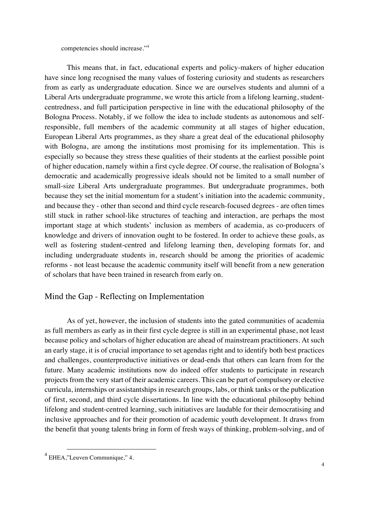competencies should increase."<sup>4</sup>

This means that, in fact, educational experts and policy-makers of higher education have since long recognised the many values of fostering curiosity and students as researchers from as early as undergraduate education. Since we are ourselves students and alumni of a Liberal Arts undergraduate programme, we wrote this article from a lifelong learning, studentcentredness, and full participation perspective in line with the educational philosophy of the Bologna Process. Notably, if we follow the idea to include students as autonomous and selfresponsible, full members of the academic community at all stages of higher education, European Liberal Arts programmes, as they share a great deal of the educational philosophy with Bologna, are among the institutions most promising for its implementation. This is especially so because they stress these qualities of their students at the earliest possible point of higher education, namely within a first cycle degree. Of course, the realisation of Bologna's democratic and academically progressive ideals should not be limited to a small number of small-size Liberal Arts undergraduate programmes. But undergraduate programmes, both because they set the initial momentum for a student's initiation into the academic community, and because they - other than second and third cycle research-focused degrees - are often times still stuck in rather school-like structures of teaching and interaction, are perhaps the most important stage at which students' inclusion as members of academia, as co-producers of knowledge and drivers of innovation ought to be fostered. In order to achieve these goals, as well as fostering student-centred and lifelong learning then, developing formats for, and including undergraduate students in, research should be among the priorities of academic reforms - not least because the academic community itself will benefit from a new generation of scholars that have been trained in research from early on.

## Mind the Gap - Reflecting on Implementation

As of yet, however, the inclusion of students into the gated communities of academia as full members as early as in their first cycle degree is still in an experimental phase, not least because policy and scholars of higher education are ahead of mainstream practitioners. At such an early stage, it is of crucial importance to set agendas right and to identify both best practices and challenges, counterproductive initiatives or dead-ends that others can learn from for the future. Many academic institutions now do indeed offer students to participate in research projects from the very start of their academic careers. This can be part of compulsory or elective curricula, internships or assistantships in research groups, labs, or think tanks or the publication of first, second, and third cycle dissertations. In line with the educational philosophy behind lifelong and student-centred learning, such initiatives are laudable for their democratising and inclusive approaches and for their promotion of academic youth development. It draws from the benefit that young talents bring in form of fresh ways of thinking, problem-solving, and of

 $4$  EHEA,"Leuven Communique," 4.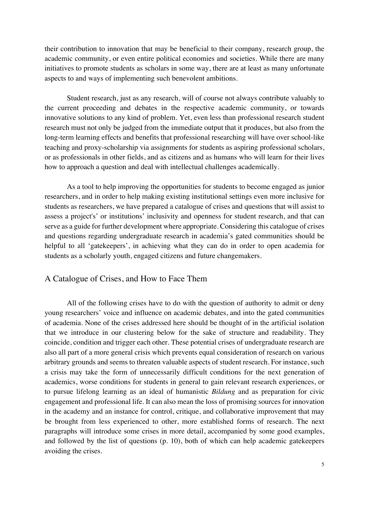their contribution to innovation that may be beneficial to their company, research group, the academic community, or even entire political economies and societies. While there are many initiatives to promote students as scholars in some way, there are at least as many unfortunate aspects to and ways of implementing such benevolent ambitions.

Student research, just as any research, will of course not always contribute valuably to the current proceeding and debates in the respective academic community, or towards innovative solutions to any kind of problem. Yet, even less than professional research student research must not only be judged from the immediate output that it produces, but also from the long-term learning effects and benefits that professional researching will have over school-like teaching and proxy-scholarship via assignments for students as aspiring professional scholars, or as professionals in other fields, and as citizens and as humans who will learn for their lives how to approach a question and deal with intellectual challenges academically.

As a tool to help improving the opportunities for students to become engaged as junior researchers, and in order to help making existing institutional settings even more inclusive for students as researchers, we have prepared a catalogue of crises and questions that will assist to assess a project's' or institutions' inclusivity and openness for student research, and that can serve as a guide for further development where appropriate. Considering this catalogue of crises and questions regarding undergraduate research in academia's gated communities should be helpful to all 'gatekeepers', in achieving what they can do in order to open academia for students as a scholarly youth, engaged citizens and future changemakers.

## A Catalogue of Crises, and How to Face Them

All of the following crises have to do with the question of authority to admit or deny young researchers' voice and influence on academic debates, and into the gated communities of academia. None of the crises addressed here should be thought of in the artificial isolation that we introduce in our clustering below for the sake of structure and readability. They coincide, condition and trigger each other. These potential crises of undergraduate research are also all part of a more general crisis which prevents equal consideration of research on various arbitrary grounds and seems to threaten valuable aspects of student research. For instance, such a crisis may take the form of unnecessarily difficult conditions for the next generation of academics, worse conditions for students in general to gain relevant research experiences, or to pursue lifelong learning as an ideal of humanistic *Bildung* and as preparation for civic engagement and professional life. It can also mean the loss of promising sources for innovation in the academy and an instance for control, critique, and collaborative improvement that may be brought from less experienced to other, more established forms of research. The next paragraphs will introduce some crises in more detail, accompanied by some good examples, and followed by the list of questions (p. 10), both of which can help academic gatekeepers avoiding the crises.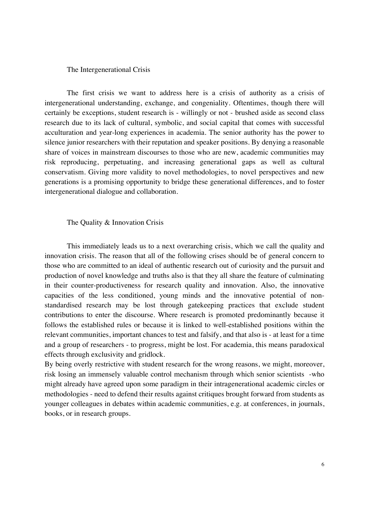#### The Intergenerational Crisis

The first crisis we want to address here is a crisis of authority as a crisis of intergenerational understanding, exchange, and congeniality. Oftentimes, though there will certainly be exceptions, student research is - willingly or not - brushed aside as second class research due to its lack of cultural, symbolic, and social capital that comes with successful acculturation and year-long experiences in academia. The senior authority has the power to silence junior researchers with their reputation and speaker positions. By denying a reasonable share of voices in mainstream discourses to those who are new, academic communities may risk reproducing, perpetuating, and increasing generational gaps as well as cultural conservatism. Giving more validity to novel methodologies, to novel perspectives and new generations is a promising opportunity to bridge these generational differences, and to foster intergenerational dialogue and collaboration.

#### The Quality & Innovation Crisis

This immediately leads us to a next overarching crisis, which we call the quality and innovation crisis. The reason that all of the following crises should be of general concern to those who are committed to an ideal of authentic research out of curiosity and the pursuit and production of novel knowledge and truths also is that they all share the feature of culminating in their counter-productiveness for research quality and innovation. Also, the innovative capacities of the less conditioned, young minds and the innovative potential of nonstandardised research may be lost through gatekeeping practices that exclude student contributions to enter the discourse. Where research is promoted predominantly because it follows the established rules or because it is linked to well-established positions within the relevant communities, important chances to test and falsify, and that also is - at least for a time and a group of researchers - to progress, might be lost. For academia, this means paradoxical effects through exclusivity and gridlock.

By being overly restrictive with student research for the wrong reasons, we might, moreover, risk losing an immensely valuable control mechanism through which senior scientists -who might already have agreed upon some paradigm in their intragenerational academic circles or methodologies - need to defend their results against critiques brought forward from students as younger colleagues in debates within academic communities, e.g. at conferences, in journals, books, or in research groups.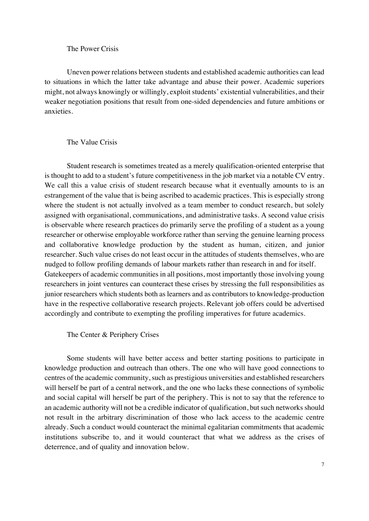#### The Power Crisis

Uneven power relations between students and established academic authorities can lead to situations in which the latter take advantage and abuse their power. Academic superiors might, not always knowingly or willingly, exploit students' existential vulnerabilities, and their weaker negotiation positions that result from one-sided dependencies and future ambitions or anxieties.

#### The Value Crisis

Student research is sometimes treated as a merely qualification-oriented enterprise that is thought to add to a student's future competitiveness in the job market via a notable CV entry. We call this a value crisis of student research because what it eventually amounts to is an estrangement of the value that is being ascribed to academic practices. This is especially strong where the student is not actually involved as a team member to conduct research, but solely assigned with organisational, communications, and administrative tasks. A second value crisis is observable where research practices do primarily serve the profiling of a student as a young researcher or otherwise employable workforce rather than serving the genuine learning process and collaborative knowledge production by the student as human, citizen, and junior researcher. Such value crises do not least occur in the attitudes of students themselves, who are nudged to follow profiling demands of labour markets rather than research in and for itself. Gatekeepers of academic communities in all positions, most importantly those involving young researchers in joint ventures can counteract these crises by stressing the full responsibilities as junior researchers which students both as learners and as contributors to knowledge-production have in the respective collaborative research projects. Relevant job offers could be advertised accordingly and contribute to exempting the profiling imperatives for future academics.

The Center & Periphery Crises

Some students will have better access and better starting positions to participate in knowledge production and outreach than others. The one who will have good connections to centres of the academic community, such as prestigious universities and established researchers will herself be part of a central network, and the one who lacks these connections of symbolic and social capital will herself be part of the periphery. This is not to say that the reference to an academic authority will not be a credible indicator of qualification, but such networks should not result in the arbitrary discrimination of those who lack access to the academic centre already. Such a conduct would counteract the minimal egalitarian commitments that academic institutions subscribe to, and it would counteract that what we address as the crises of deterrence, and of quality and innovation below.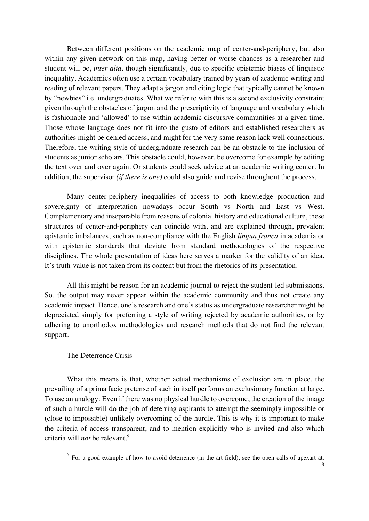Between different positions on the academic map of center-and-periphery, but also within any given network on this map, having better or worse chances as a researcher and student will be, *inter alia,* though significantly*,* due to specific epistemic biases of linguistic inequality. Academics often use a certain vocabulary trained by years of academic writing and reading of relevant papers. They adapt a jargon and citing logic that typically cannot be known by "newbies" i.e. undergraduates. What we refer to with this is a second exclusivity constraint given through the obstacles of jargon and the prescriptivity of language and vocabulary which is fashionable and 'allowed' to use within academic discursive communities at a given time. Those whose language does not fit into the gusto of editors and established researchers as authorities might be denied access, and might for the very same reason lack well connections. Therefore, the writing style of undergraduate research can be an obstacle to the inclusion of students as junior scholars. This obstacle could, however, be overcome for example by editing the text over and over again. Or students could seek advice at an academic writing center. In addition, the supervisor *(if there is one)* could also guide and revise throughout the process.

Many center-periphery inequalities of access to both knowledge production and sovereignty of interpretation nowadays occur South vs North and East vs West. Complementary and inseparable from reasons of colonial history and educational culture, these structures of center-and-periphery can coincide with, and are explained through, prevalent epistemic imbalances, such as non-compliance with the English *lingua franca* in academia or with epistemic standards that deviate from standard methodologies of the respective disciplines. The whole presentation of ideas here serves a marker for the validity of an idea. It's truth-value is not taken from its content but from the rhetorics of its presentation.

All this might be reason for an academic journal to reject the student-led submissions. So, the output may never appear within the academic community and thus not create any academic impact. Hence, one's research and one's status as undergraduate researcher might be depreciated simply for preferring a style of writing rejected by academic authorities, or by adhering to unorthodox methodologies and research methods that do not find the relevant support.

#### The Deterrence Crisis

What this means is that, whether actual mechanisms of exclusion are in place, the prevailing of a prima facie pretense of such in itself performs an exclusionary function at large. To use an analogy: Even if there was no physical hurdle to overcome, the creation of the image of such a hurdle will do the job of deterring aspirants to attempt the seemingly impossible or (close-to impossible) unlikely overcoming of the hurdle. This is why it is important to make the criteria of access transparent, and to mention explicitly who is invited and also which criteria will *not* be relevant.<sup>5</sup>

 $\frac{5}{5}$  For a good example of how to avoid deterrence (in the art field), see the open calls of apexart at: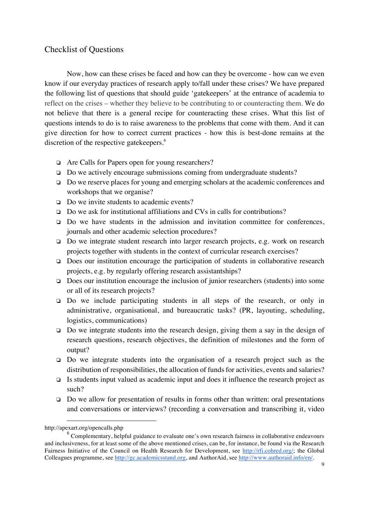# Checklist of Questions

Now, how can these crises be faced and how can they be overcome - how can we even know if our everyday practices of research apply to/fall under these crises? We have prepared the following list of questions that should guide 'gatekeepers' at the entrance of academia to reflect on the crises – whether they believe to be contributing to or counteracting them. We do not believe that there is a general recipe for counteracting these crises. What this list of questions intends to do is to raise awareness to the problems that come with them. And it can give direction for how to correct current practices - how this is best-done remains at the discretion of the respective gatekeepers.<sup>6</sup>

- ❏ Are Calls for Papers open for young researchers?
- ❏ Do we actively encourage submissions coming from undergraduate students?
- ❏ Do we reserve places for young and emerging scholars at the academic conferences and workshops that we organise?
- ❏ Do we invite students to academic events?
- ❏ Do we ask for institutional affiliations and CVs in calls for contributions?
- ❏ Do we have students in the admission and invitation committee for conferences, journals and other academic selection procedures?
- ❏ Do we integrate student research into larger research projects, e.g. work on research projects together with students in the context of curricular research exercises?
- ❏ Does our institution encourage the participation of students in collaborative research projects, e.g. by regularly offering research assistantships?
- ❏ Does our institution encourage the inclusion of junior researchers (students) into some or all of its research projects?
- ❏ Do we include participating students in all steps of the research, or only in administrative, organisational, and bureaucratic tasks? (PR, layouting, scheduling, logistics, communications)
- ❏ Do we integrate students into the research design, giving them a say in the design of research questions, research objectives, the definition of milestones and the form of output?
- ❏ Do we integrate students into the organisation of a research project such as the distribution of responsibilities, the allocation of funds for activities, events and salaries?
- ❏ Is students input valued as academic input and does it influence the research project as such?
- ❏ Do we allow for presentation of results in forms other than written: oral presentations and conversations or interviews? (recording a conversation and transcribing it, video

1

http://apexart.org/opencalls.php

 $<sup>6</sup>$  Complementary, helpful guidance to evaluate one's own research fairness in collaborative endeavours</sup> and inclusiveness, for at least some of the above mentioned crises, can be, for instance, be found via the Research Fairness Initiative of the Council on Health Research for Development, see http://rfi.cohred.org/; the Global Colleagues programme, see http://gc.academicsstand.org, and AuthorAid, see http://www.authoraid.info/en/.